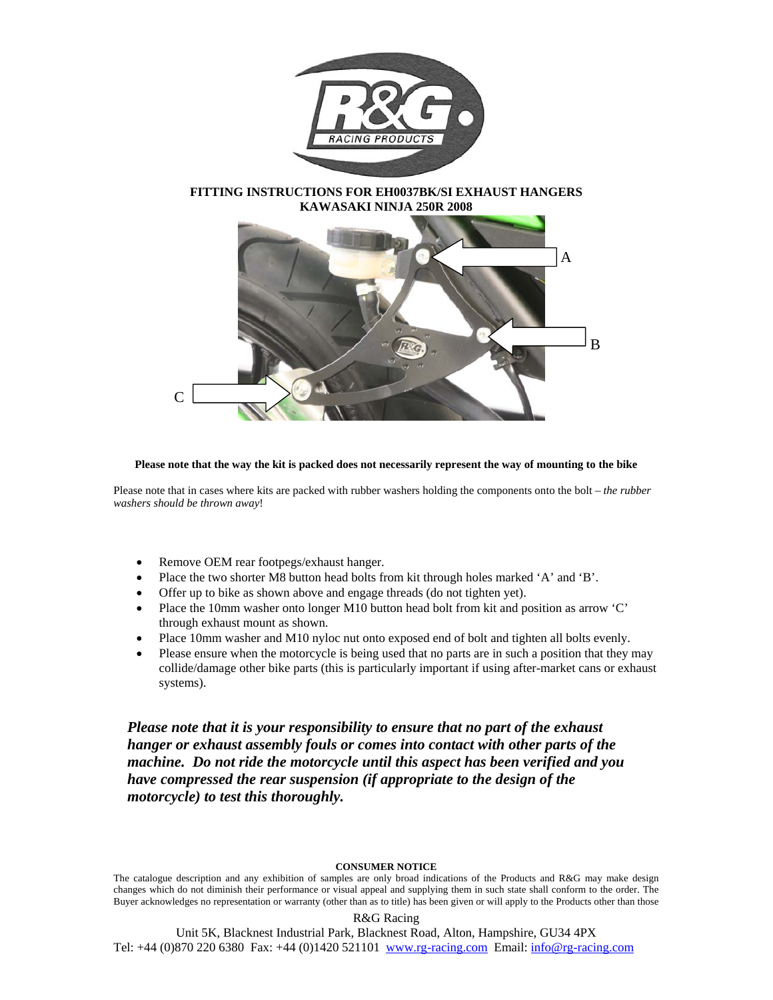

**FITTING INSTRUCTIONS FOR EH0037BK/SI EXHAUST HANGERS KAWASAKI NINJA 250R 2008** 



## **Please note that the way the kit is packed does not necessarily represent the way of mounting to the bike**

Please note that in cases where kits are packed with rubber washers holding the components onto the bolt – *the rubber washers should be thrown away*!

- Remove OEM rear footpegs/exhaust hanger.
- Place the two shorter M8 button head bolts from kit through holes marked 'A' and 'B'.
- Offer up to bike as shown above and engage threads (do not tighten yet).
- Place the 10mm washer onto longer M10 button head bolt from kit and position as arrow 'C' through exhaust mount as shown.
- Place 10mm washer and M10 nyloc nut onto exposed end of bolt and tighten all bolts evenly.
- Please ensure when the motorcycle is being used that no parts are in such a position that they may collide/damage other bike parts (this is particularly important if using after-market cans or exhaust systems).

*Please note that it is your responsibility to ensure that no part of the exhaust hanger or exhaust assembly fouls or comes into contact with other parts of the machine. Do not ride the motorcycle until this aspect has been verified and you have compressed the rear suspension (if appropriate to the design of the motorcycle) to test this thoroughly.*

## **CONSUMER NOTICE**

The catalogue description and any exhibition of samples are only broad indications of the Products and R&G may make design changes which do not diminish their performance or visual appeal and supplying them in such state shall conform to the order. The Buyer acknowledges no representation or warranty (other than as to title) has been given or will apply to the Products other than those

## R&G Racing

Unit 5K, Blacknest Industrial Park, Blacknest Road, Alton, Hampshire, GU34 4PX Tel: +44 (0) 870 220 6380 Fax: +44 (0) 1420 521101 www.rg-racing.com Email: info@rg-racing.com